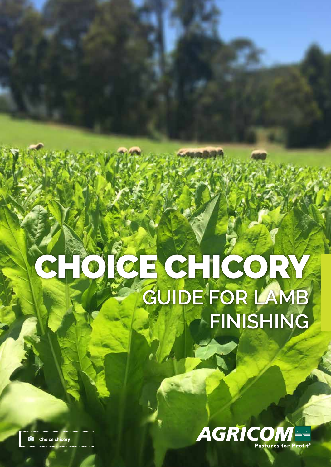# CHOICE CHICORY **GUIDE FOR LAMB FINISHING**



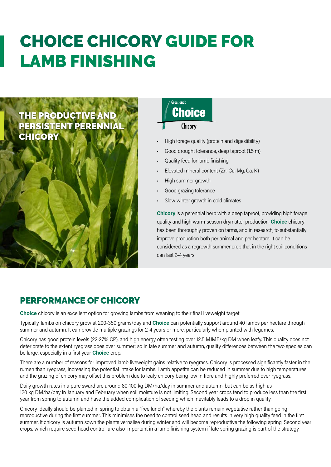# CHOICE CHICORY GUIDE FOR LAMB FINISHING

## THE PRODUCTIVE AND PERSISTENT PERENNIAL **CHICORY**

### Grasslands **Choice** Chicory

#### • High forage quality (protein and digestibility)

- Good drought tolerance, deep taproot (1.5 m)
- Quality feed for lamb finishing
- Elevated mineral content (Zn, Cu, Mg, Ca, K)
- High summer growth
- Good grazing tolerance
- Slow winter growth in cold climates

**Chicory** is a perennial herb with a deep taproot, providing high forage quality and high warm-season drymatter production. **Choice** chicory has been thoroughly proven on farms, and in research, to substantially improve production both per animal and per hectare. It can be considered as a regrowth summer crop that in the right soil conditions can last 2-4 years.

### PERFORMANCE OF CHICORY

**Choice** chicory is an excellent option for growing lambs from weaning to their final liveweight target.

Typically, lambs on chicory grow at 200-350 grams/day and **Choice** can potentially support around 40 lambs per hectare through summer and autumn. It can provide multiple grazings for 2-4 years or more, particularly when planted with legumes.

Chicory has good protein levels (22-27% CP), and high energy often testing over 12.5 MJME/kg DM when leafy. This quality does not deteriorate to the extent ryegrass does over summer; so in late summer and autumn, quality differences between the two species can be large, especially in a first year **Choice** crop.

There are a number of reasons for improved lamb liveweight gains relative to ryegrass. Chicory is processed significantly faster in the rumen than ryegrass, increasing the potential intake for lambs. Lamb appetite can be reduced in summer due to high temperatures and the grazing of chicory may offset this problem due to leafy chicory being low in fibre and highly preferred over ryegrass.

Daily growth rates in a pure sward are around 80-100 kg DM/ha/day in summer and autumn, but can be as high as 120 kg DM/ha/day in January and February when soil moisture is not limiting. Second year crops tend to produce less than the first year from spring to autumn and have the added complication of seeding which inevitably leads to a drop in quality.

Chicory ideally should be planted in spring to obtain a "free lunch" whereby the plants remain vegetative rather than going reproductive during the first summer. This minimises the need to control seed head and results in very high quality feed in the first summer. If chicory is autumn sown the plants vernalise during winter and will become reproductive the following spring. Second year crops, which require seed head control, are also important in a lamb finishing system if late spring grazing is part of the strategy.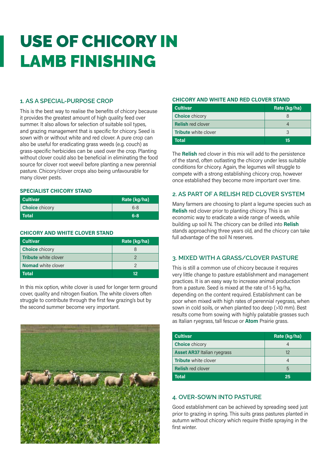# USE OF CHICORY IN LAMB FINISHING

#### **1. AS A SPECIAL-PURPOSE CROP**

This is the best way to realise the benefits of chicory because it provides the greatest amount of high quality feed over summer. It also allows for selection of suitable soil types, and grazing management that is specific for chicory. Seed is sown with or without white and red clover. A pure crop can also be useful for eradicating grass weeds (e.g. couch) as grass-specific herbicides can be used over the crop. Planting without clover could also be beneficial in eliminating the food source for clover root weevil before planting a new perennial pasture. Chicory/clover crops also being unfavourable for many clover pests.

#### **SPECIALIST CHICORY STAND**

| <b>Cultivar</b>       | Rate (kg/ha) |
|-----------------------|--------------|
| <b>Choice</b> chicory | $6 - 8$      |
| Total                 | $6 - 8$      |

#### **CHICORY AND WHITE CLOVER STAND**

| <b>Cultivar</b>             | Rate (kg/ha) |
|-----------------------------|--------------|
| <b>Choice</b> chicory       |              |
| <b>Tribute</b> white clover |              |
| <b>Nomad</b> white clover   |              |
| Total                       | 12           |

In this mix option, white clover is used for longer term ground cover, quality and nitrogen fixation. The white clovers often struggle to contribute through the first few grazing's but by the second summer become very important.



#### **CHICORY AND WHITE AND RED CLOVER STAND**

| <b>Cultivar</b>             | Rate (kg/ha) |
|-----------------------------|--------------|
| <b>Choice</b> chicory       |              |
| <b>Relish red clover</b>    |              |
| <b>Tribute</b> white clover | 3            |
| <b>Total</b>                | 15           |

The **Relish** red clover in this mix will add to the persistence of the stand, often outlasting the chicory under less suitable conditions for chicory. Again, the legumes will struggle to compete with a strong establishing chicory crop, however once established they become more important over time.

#### **2. AS PART OF A RELISH RED CLOVER SYSTEM**

Many farmers are choosing to plant a legume species such as **Relish** red clover prior to planting chicory. This is an economic way to eradicate a wide range of weeds, while building up soil N. The chicory can be drilled into **Relish**  stands approaching three years old, and the chicory can take full advantage of the soil N reserves.

#### **3. MIXED WITH A GRASS/CLOVER PASTURE**

This is still a common use of chicory because it requires very little change to pasture establishment and management practices. It is an easy way to increase animal production from a pasture. Seed is mixed at the rate of 1-5 kg/ha, depending on the content required. Establishment can be poor when mixed with high rates of perennial ryegrass, when sown in cold soils, or when planted too deep (>10 mm). Best results come from sowing with highly palatable grasses such as Italian ryegrass, tall fescue or **Atom** Prairie grass.

| <b>Cultivar</b>                    | Rate (kg/ha) |
|------------------------------------|--------------|
| <b>Choice</b> chicory              |              |
| <b>Asset AR37 Italian ryegrass</b> | 12           |
| <b>Tribute</b> white clover        | 4            |
| <b>Relish red clover</b>           | 5            |
| <b>Total</b>                       | 25           |

#### **4. OVER-SOWN INTO PASTURE**

Good establishment can be achieved by spreading seed just prior to grazing in spring. This suits grass pastures planted in autumn without chicory which require thistle spraying in the first winter.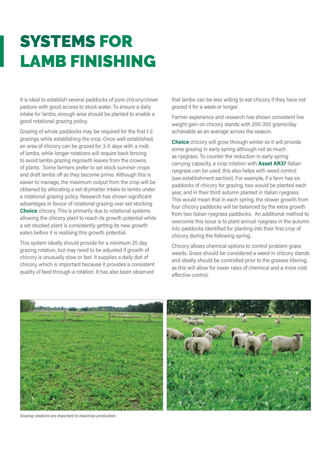# SYSTEMS FOR LAMB FINISHING

It is ideal to establish several paddocks of pure chicory/clover pasture with good access to stock water. To ensure a daily intake for lambs, enough area should be planted to enable a good rotational grazing policy.

Grazing of whole paddocks may be required for the first 1-2 grazings while establishing the crop. Once well established, an area of chicory can be grazed for 3-5 days with a mob of lambs, while longer rotations will require back fencing to avoid lambs grazing regrowth leaves from the crowns of plants. Some farmers prefer to set stock summer crops and draft lambs off as they become prime. Although this is easier to manage, the maximum output from the crop will be obtained by allocating a set drymatter intake to lambs under a rotational grazing policy. Research has shown significant advantages in favour of rotational grazing over set stocking **Choice** chicory. This is primarily due to rotational systems allowing the chicory plant to reach its growth potential while a set stocked plant is consistently getting its new growth eaten before it is realising this growth potential.

This system ideally should provide for a minimum 25 day grazing rotation, but may need to be adjusted if growth of chicory is unusually slow or fast. It supplies a daily diet of chicory, which is important because it provides a consistent quality of feed through a rotation. It has also been observed

that lambs can be less willing to eat chicory if they have not grazed it for a week or longer.

Farmer experience and research has shown consistent live weight gain on chicory stands with 200-350 grams/day achievable as an average across the season.

**Choice** chicory will grow through winter so it will provide some grazing in early spring although not as much as ryegrass. To counter the reduction in early spring carrying capacity, a crop rotation with **Asset AR37** Italian ryegrass can be used, this also helps with weed control (see establishment section). For example, if a farm has six paddocks of chicory for grazing, two would be planted each year, and in their third autumn planted in Italian ryegrass. This would mean that in each spring, the slower growth from four chicory paddocks will be balanced by the extra growth from two Italian ryegrass paddocks. An additional method to overcome this issue is to plant annual ryegrass in the autumn into paddocks identified for planting into their first crop of chicory during the following spring.

Chicory allows chemical options to control problem grass weeds. Grass should be considered a weed in chicory stands and ideally should be controlled prior to the grasses tillering, as this will allow for lower rates of chemical and a more cost effective control.



*Grazing rotations are important to maximise production.*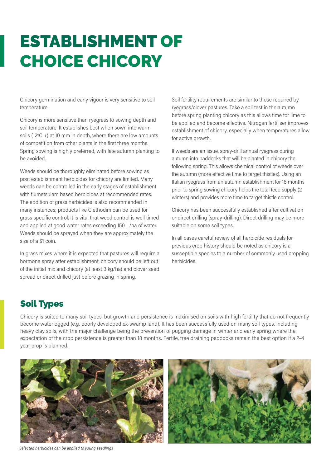# ESTABLISHMENT OF CHOICE CHICORY

Chicory germination and early vigour is very sensitive to soil temperature.

Chicory is more sensitive than ryegrass to sowing depth and soil temperature. It establishes best when sown into warm soils ( $12^{\circ}$ C +) at 10 mm in depth, where there are low amounts of competition from other plants in the first three months. Spring sowing is highly preferred, with late autumn planting to be avoided.

Weeds should be thoroughly eliminated before sowing as post establishment herbicides for chicory are limited. Many weeds can be controlled in the early stages of establishment with flumetsulam based herbicides at recommended rates. The addition of grass herbicides is also recommended in many instances; products like Clethodim can be used for grass specific control. It is vital that weed control is well timed and applied at good water rates exceeding 150 L/ha of water. Weeds should be sprayed when they are approximately the size of a \$1 coin.

In grass mixes where it is expected that pastures will require a hormone spray after establishment, chicory should be left out of the initial mix and chicory (at least 3 kg/ha) and clover seed spread or direct drilled just before grazing in spring.

Soil fertility requirements are similar to those required by ryegrass/clover pastures. Take a soil test in the autumn before spring planting chicory as this allows time for lime to be applied and become effective. Nitrogen fertiliser improves establishment of chicory, especially when temperatures allow for active growth.

If weeds are an issue, spray-drill annual ryegrass during autumn into paddocks that will be planted in chicory the following spring. This allows chemical control of weeds over the autumn (more effective time to target thistles). Using an Italian ryegrass from an autumn establishment for 18 months prior to spring sowing chicory helps the total feed supply (2 winters) and provides more time to target thistle control.

Chicory has been successfully established after cultivation or direct drilling (spray-drilling). Direct drilling may be more suitable on some soil types.

In all cases careful review of all herbicide residuals for previous crop history should be noted as chicory is a susceptible species to a number of commonly used cropping herbicides.

## Soil Types

Chicory is suited to many soil types, but growth and persistence is maximised on soils with high fertility that do not frequently become waterlogged (e.g. poorly developed ex-swamp land). It has been successfully used on many soil types, including heavy clay soils, with the major challenge being the prevention of pugging damage in winter and early spring where the expectation of the crop persistence is greater than 18 months. Fertile, free draining paddocks remain the best option if a 2-4 year crop is planned.



*Selected herbicides can be applied to young seedlings*

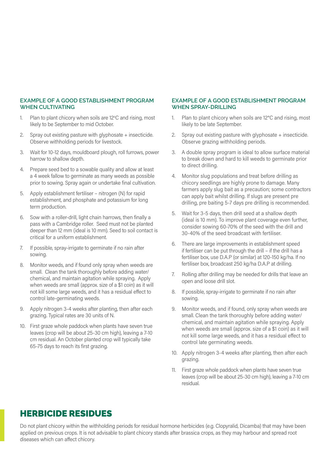#### **EXAMPLE OF A GOOD ESTABLISHMENT PROGRAM WHEN CULTIVATING**

- 1. Plan to plant chicory when soils are  $12^{\circ}$ C and rising, most likely to be September to mid October.
- 2. Spray out existing pasture with glyphosate + insecticide. Observe withholding periods for livestock.
- 3. Wait for 10-12 days, mouldboard plough, roll furrows, power harrow to shallow depth.
- 4. Prepare seed bed to a sowable quality and allow at least a 4 week fallow to germinate as many weeds as possible prior to sowing. Spray again or undertake final cultivation.
- 5. Apply establishment fertiliser nitrogen (N) for rapid establishment, and phosphate and potassium for long term production.
- 6. Sow with a roller-drill, light chain harrows, then finally a pass with a Cambridge roller. Seed must not be planted deeper than 12 mm (ideal is 10 mm). Seed to soil contact is critical for a uniform establishment.
- 7. If possible, spray-irrigate to germinate if no rain after sowing.
- 8. Monitor weeds, and if found only spray when weeds are small. Clean the tank thoroughly before adding water/ chemical, and maintain agitation while spraying. Apply when weeds are small (approx. size of a \$1 coin) as it will not kill some large weeds, and it has a residual effect to control late-germinating weeds.
- 9. Apply nitrogen 3-4 weeks after planting, then after each grazing. Typical rates are 30 units of N.
- 10. First graze whole paddock when plants have seven true leaves (crop will be about 25-30 cm high), leaving a 7-10 cm residual. An October planted crop will typically take 65-75 days to reach its first grazing.

#### **EXAMPLE OF A GOOD ESTABLISHMENT PROGRAM WHEN SPRAY-DRILLING**

- 1. Plan to plant chicory when soils are 12°C and rising, most likely to be late September.
- 2. Spray out existing pasture with glyphosate + insecticide. Observe grazing withholding periods.
- 3. A double spray program is ideal to allow surface material to break down and hard to kill weeds to germinate prior to direct drilling.
- 4. Monitor slug populations and treat before drilling as chicory seedlings are highly prone to damage. Many farmers apply slug bait as a precaution; some contractors can apply bait whilst drilling. If slugs are present pre drilling, pre baiting 5-7 days pre drilling is recommended.
- 5. Wait for 3-5 days, then drill seed at a shallow depth (ideal is 10 mm). To improve plant coverage even further, consider sowing 60-70% of the seed with the drill and 30-40% of the seed broadcast with fertiliser.
- 6. There are large improvements in establishment speed if fertiliser can be put through the drill – if the drill has a fertiliser box, use D.A.P (or similar) at 120-150 kg/ha. If no fertiliser box, broadcast 250 kg/ha D.A.P at drilling.
- 7. Rolling after drilling may be needed for drills that leave an open and loose drill slot.
- 8. If possible, spray-irrigate to germinate if no rain after sowing.
- 9. Monitor weeds, and if found, only spray when weeds are small. Clean the tank thoroughly before adding water/ chemical, and maintain agitation while spraying. Apply when weeds are small (approx. size of a \$1 coin) as it will not kill some large weeds, and it has a residual effect to control late germinating weeds.
- 10. Apply nitrogen 3-4 weeks after planting, then after each grazing.
- 11. First graze whole paddock when plants have seven true leaves (crop will be about 25-30 cm high), leaving a 7-10 cm residual.

### HERBICIDE RESIDUES

Do not plant chicory within the withholding periods for residual hormone herbicides (e.g. Clopyralid, Dicamba) that may have been applied on previous crops. It is not advisable to plant chicory stands after brassica crops, as they may harbour and spread root diseases which can affect chicory.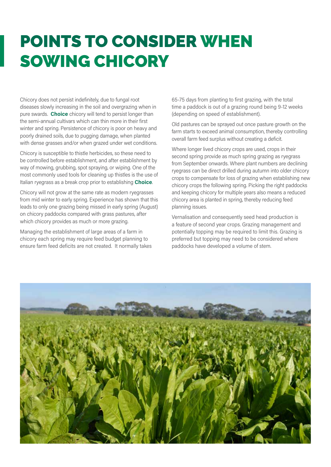# POINTS TO CONSIDER WHEN SOWING CHICORY

Chicory does not persist indefinitely, due to fungal root diseases slowly increasing in the soil and overgrazing when in pure swards. **Choice** chicory will tend to persist longer than the semi-annual cultivars which can thin more in their first winter and spring. Persistence of chicory is poor on heavy and poorly drained soils, due to pugging damage, when planted with dense grasses and/or when grazed under wet conditions.

Chicory is susceptible to thistle herbicides, so these need to be controlled before establishment, and after establishment by way of mowing, grubbing, spot spraying, or wiping. One of the most commonly used tools for cleaning up thistles is the use of Italian ryegrass as a break crop prior to establishing **Choice**.

Chicory will not grow at the same rate as modern ryegrasses from mid winter to early spring. Experience has shown that this leads to only one grazing being missed in early spring (August) on chicory paddocks compared with grass pastures, after which chicory provides as much or more grazing.

Managing the establishment of large areas of a farm in chicory each spring may require feed budget planning to ensure farm feed deficits are not created. It normally takes

65-75 days from planting to first grazing, with the total time a paddock is out of a grazing round being 9-12 weeks (depending on speed of establishment).

Old pastures can be sprayed out once pasture growth on the farm starts to exceed animal consumption, thereby controlling overall farm feed surplus without creating a deficit.

Where longer lived chicory crops are used, crops in their second spring provide as much spring grazing as ryegrass from September onwards. Where plant numbers are declining ryegrass can be direct drilled during autumn into older chicory crops to compensate for loss of grazing when establishing new chicory crops the following spring. Picking the right paddocks and keeping chicory for multiple years also means a reduced chicory area is planted in spring, thereby reducing feed planning issues.

Vernalisation and consequently seed head production is a feature of second year crops. Grazing management and potentially topping may be required to limit this. Grazing is preferred but topping may need to be considered where paddocks have developed a volume of stem.